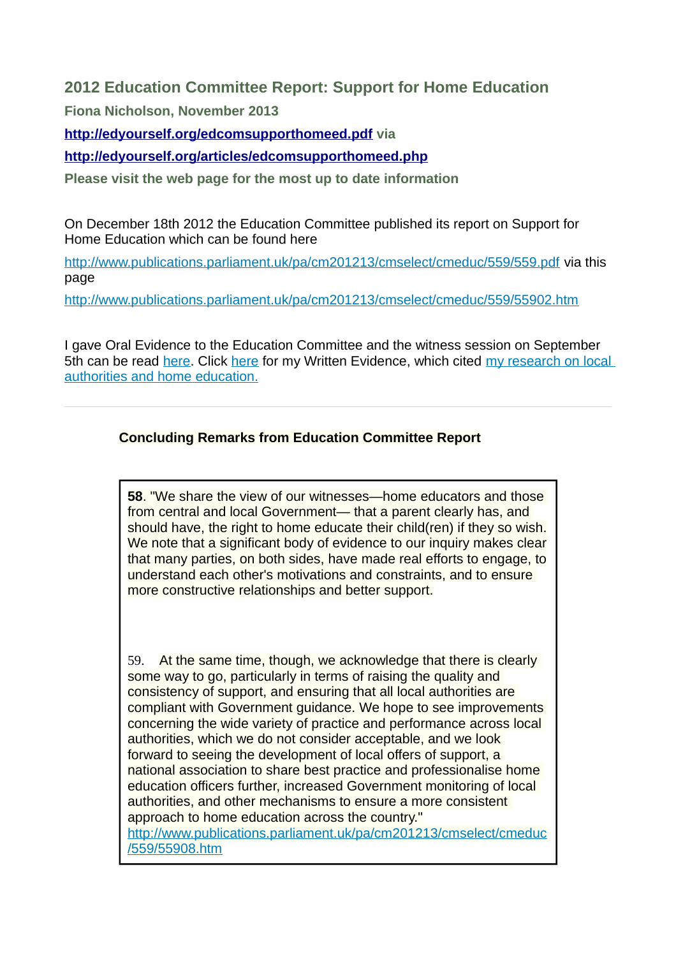# **2012 Education Committee Report: Support for Home Education**

**Fiona Nicholson, November 2013** 

**<http://edyourself.org/edcomsupporthomeed.pdf>via** 

# **<http://edyourself.org/articles/edcomsupporthomeed.php>**

**Please visit the web page for the most up to date information** 

On December 18th 2012 the Education Committee published its report on Support for Home Education which can be found here

<http://www.publications.parliament.uk/pa/cm201213/cmselect/cmeduc/559/559.pdf> via this page

<http://www.publications.parliament.uk/pa/cm201213/cmselect/cmeduc/559/55902.htm>

I gave Oral Evidence to the Education Committee and the witness session on September 5th can be read [here.](http://www.publications.parliament.uk/pa/cm201213/cmselect/cmeduc/uc559-i/uc55901.htm) Click [here](http://www.publications.parliament.uk/pa/cm201213/cmselect/cmeduc/559/559we05.htm) for my Written Evidence, which cited [my research on local](http://edyourself.org/research/#edyourselfresearch) [authorities and home education.](http://edyourself.org/research/#edyourselfresearch)

# **Concluding Remarks from Education Committee Report**

**58**. "We share the view of our witnesses—home educators and those from central and local Government— that a parent clearly has, and should have, the right to home educate their child(ren) if they so wish. We note that a significant body of evidence to our inquiry makes clear that many parties, on both sides, have made real efforts to engage, to understand each other's motivations and constraints, and to ensure more constructive relationships and better support.

59. At the same time, though, we acknowledge that there is clearly some way to go, particularly in terms of raising the quality and consistency of support, and ensuring that all local authorities are compliant with Government guidance. We hope to see improvements concerning the wide variety of practice and performance across local authorities, which we do not consider acceptable, and we look forward to seeing the development of local offers of support, a national association to share best practice and professionalise home education officers further, increased Government monitoring of local authorities, and other mechanisms to ensure a more consistent approach to home education across the country." [http://www.publications.parliament.uk/pa/cm201213/cmselect/cmeduc](http://www.publications.parliament.uk/pa/cm201213/cmselect/cmeduc/559/55908.htm) [/559/55908.htm](http://www.publications.parliament.uk/pa/cm201213/cmselect/cmeduc/559/55908.htm)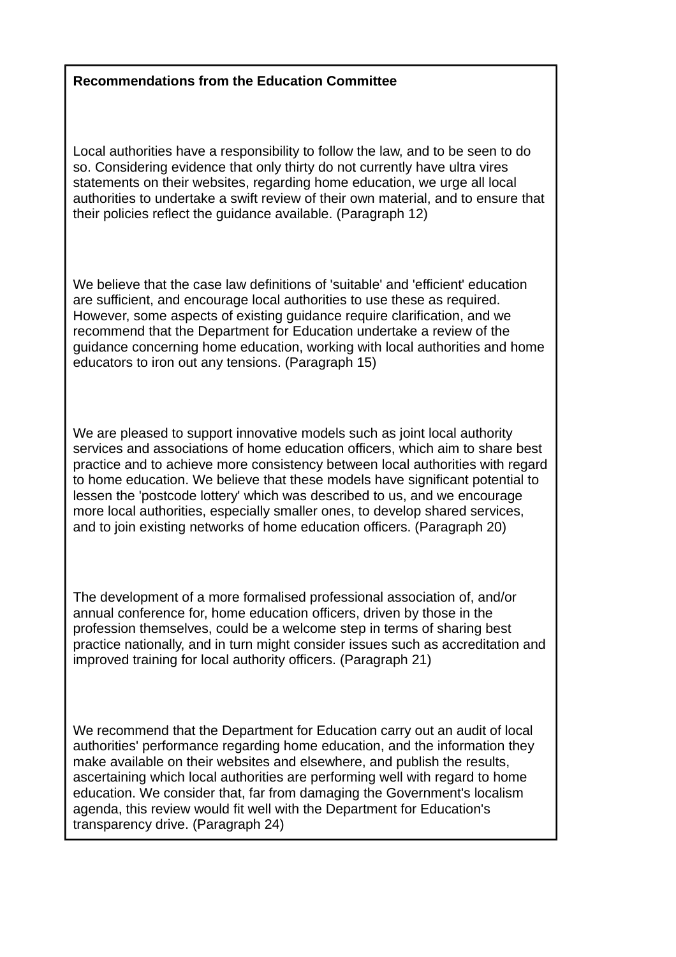# **Recommendations from the Education Committee**

Local authorities have a responsibility to follow the law, and to be seen to do so. Considering evidence that only thirty do not currently have ultra vires statements on their websites, regarding home education, we urge all local authorities to undertake a swift review of their own material, and to ensure that their policies reflect the guidance available. (Paragraph 12)

We believe that the case law definitions of 'suitable' and 'efficient' education are sufficient, and encourage local authorities to use these as required. However, some aspects of existing guidance require clarification, and we recommend that the Department for Education undertake a review of the guidance concerning home education, working with local authorities and home educators to iron out any tensions. (Paragraph 15)

We are pleased to support innovative models such as joint local authority services and associations of home education officers, which aim to share best practice and to achieve more consistency between local authorities with regard to home education. We believe that these models have significant potential to lessen the 'postcode lottery' which was described to us, and we encourage more local authorities, especially smaller ones, to develop shared services, and to join existing networks of home education officers. (Paragraph 20)

The development of a more formalised professional association of, and/or annual conference for, home education officers, driven by those in the profession themselves, could be a welcome step in terms of sharing best practice nationally, and in turn might consider issues such as accreditation and improved training for local authority officers. (Paragraph 21)

We recommend that the Department for Education carry out an audit of local authorities' performance regarding home education, and the information they make available on their websites and elsewhere, and publish the results, ascertaining which local authorities are performing well with regard to home education. We consider that, far from damaging the Government's localism agenda, this review would fit well with the Department for Education's transparency drive. (Paragraph 24)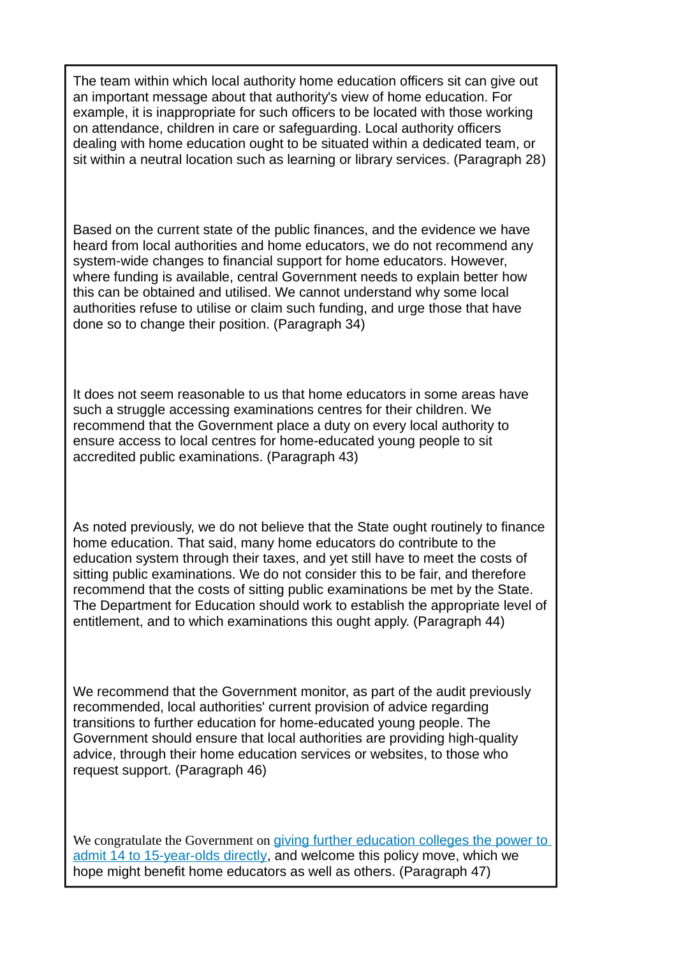The team within which local authority home education officers sit can give out an important message about that authority's view of home education. For example, it is inappropriate for such officers to be located with those working on attendance, children in care or safeguarding. Local authority officers dealing with home education ought to be situated within a dedicated team, or sit within a neutral location such as learning or library services. (Paragraph 28)

Based on the current state of the public finances, and the evidence we have heard from local authorities and home educators, we do not recommend any system-wide changes to financial support for home educators. However, where funding is available, central Government needs to explain better how this can be obtained and utilised. We cannot understand why some local authorities refuse to utilise or claim such funding, and urge those that have done so to change their position. (Paragraph 34)

It does not seem reasonable to us that home educators in some areas have such a struggle accessing examinations centres for their children. We recommend that the Government place a duty on every local authority to ensure access to local centres for home-educated young people to sit accredited public examinations. (Paragraph 43)

As noted previously, we do not believe that the State ought routinely to finance home education. That said, many home educators do contribute to the education system through their taxes, and yet still have to meet the costs of sitting public examinations. We do not consider this to be fair, and therefore recommend that the costs of sitting public examinations be met by the State. The Department for Education should work to establish the appropriate level of entitlement, and to which examinations this ought apply. (Paragraph 44)

We recommend that the Government monitor, as part of the audit previously recommended, local authorities' current provision of advice regarding transitions to further education for home-educated young people. The Government should ensure that local authorities are providing high-quality advice, through their home education services or websites, to those who request support. (Paragraph 46)

We congratulate the Government on [giving further education colleges the power to](http://edyourself.org/articles/WolfReport.php#14-16scollege) [admit 14 to 15-year-olds directly,](http://edyourself.org/articles/WolfReport.php#14-16scollege) and welcome this policy move, which we hope might benefit home educators as well as others. (Paragraph 47)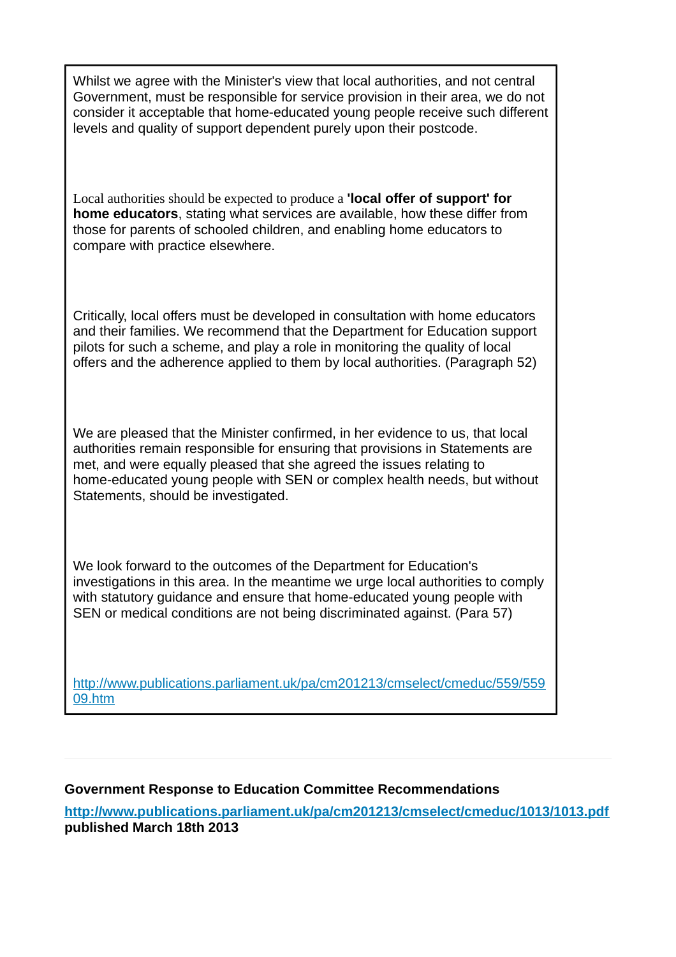Whilst we agree with the Minister's view that local authorities, and not central Government, must be responsible for service provision in their area, we do not consider it acceptable that home-educated young people receive such different levels and quality of support dependent purely upon their postcode.

Local authorities should be expected to produce a **'local offer of support' for home educators**, stating what services are available, how these differ from those for parents of schooled children, and enabling home educators to compare with practice elsewhere.

Critically, local offers must be developed in consultation with home educators and their families. We recommend that the Department for Education support pilots for such a scheme, and play a role in monitoring the quality of local offers and the adherence applied to them by local authorities. (Paragraph 52)

We are pleased that the Minister confirmed, in her evidence to us, that local authorities remain responsible for ensuring that provisions in Statements are met, and were equally pleased that she agreed the issues relating to home-educated young people with SEN or complex health needs, but without Statements, should be investigated.

We look forward to the outcomes of the Department for Education's investigations in this area. In the meantime we urge local authorities to comply with statutory guidance and ensure that home-educated young people with SEN or medical conditions are not being discriminated against. (Para 57)

[http://www.publications.parliament.uk/pa/cm201213/cmselect/cmeduc/559/559](http://www.publications.parliament.uk/pa/cm201213/cmselect/cmeduc/559/55909.htm) [09.htm](http://www.publications.parliament.uk/pa/cm201213/cmselect/cmeduc/559/55909.htm)

### **Government Response to Education Committee Recommendations**

**<http://www.publications.parliament.uk/pa/cm201213/cmselect/cmeduc/1013/1013.pdf> published March 18th 2013**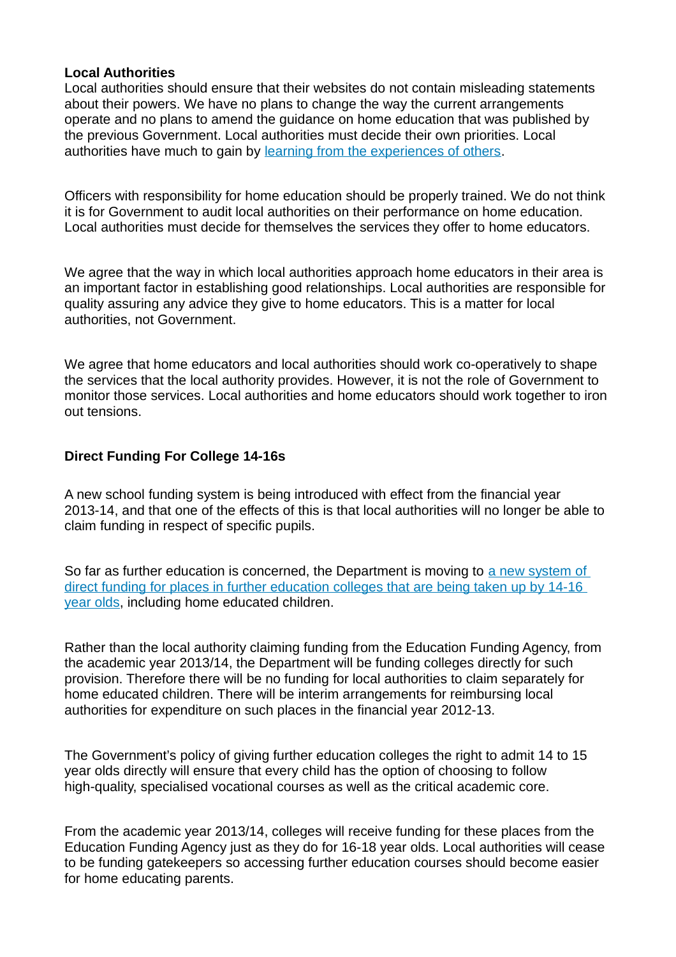#### **Local Authorities**

Local authorities should ensure that their websites do not contain misleading statements about their powers. We have no plans to change the way the current arrangements operate and no plans to amend the guidance on home education that was published by the previous Government. Local authorities must decide their own priorities. Local authorities have much to gain by [learning from the experiences of others.](http://edyourself.org/articles/councilwebpages.php)

Officers with responsibility for home education should be properly trained. We do not think it is for Government to audit local authorities on their performance on home education. Local authorities must decide for themselves the services they offer to home educators.

We agree that the way in which local authorities approach home educators in their area is an important factor in establishing good relationships. Local authorities are responsible for quality assuring any advice they give to home educators. This is a matter for local authorities, not Government.

We agree that home educators and local authorities should work co-operatively to shape the services that the local authority provides. However, it is not the role of Government to monitor those services. Local authorities and home educators should work together to iron out tensions.

# **Direct Funding For College 14-16s**

A new school funding system is being introduced with effect from the financial year 2013-14, and that one of the effects of this is that local authorities will no longer be able to claim funding in respect of specific pupils.

So far as further education is concerned, the Department is moving to [a new system of](http://edyourself.org/articles/WolfReport.php)  [direct funding for places in further education colleges that are being taken up by 14-16](http://edyourself.org/articles/WolfReport.php)  [year olds,](http://edyourself.org/articles/WolfReport.php) including home educated children.

Rather than the local authority claiming funding from the Education Funding Agency, from the academic year 2013/14, the Department will be funding colleges directly for such provision. Therefore there will be no funding for local authorities to claim separately for home educated children. There will be interim arrangements for reimbursing local authorities for expenditure on such places in the financial year 2012-13.

The Government's policy of giving further education colleges the right to admit 14 to 15 year olds directly will ensure that every child has the option of choosing to follow high-quality, specialised vocational courses as well as the critical academic core.

From the academic year 2013/14, colleges will receive funding for these places from the Education Funding Agency just as they do for 16-18 year olds. Local authorities will cease to be funding gatekeepers so accessing further education courses should become easier for home educating parents.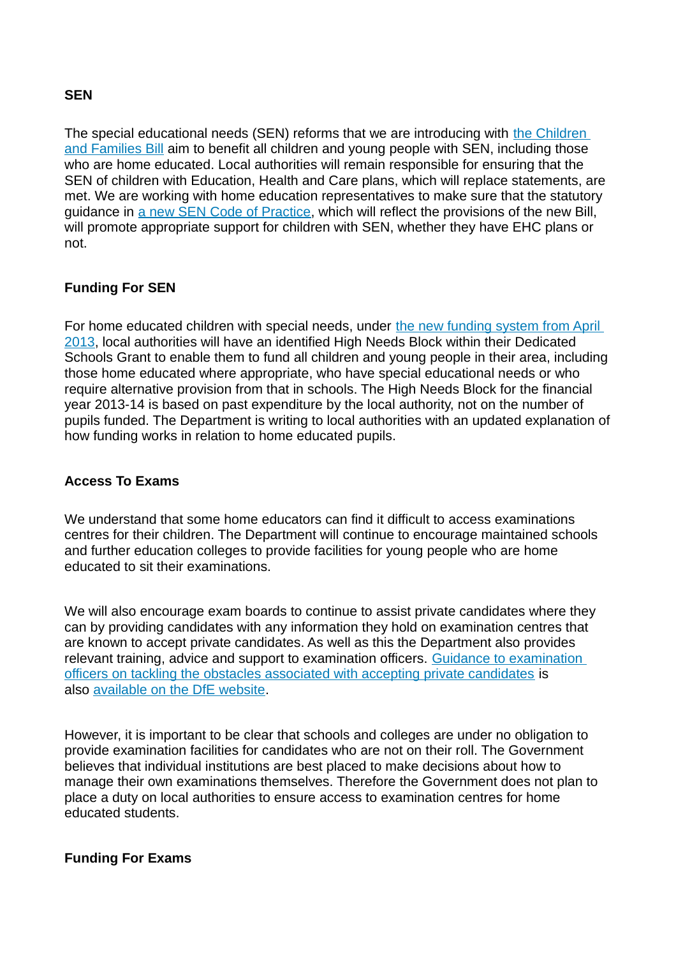#### **SEN**

The special educational needs (SEN) reforms that we are introducing with [the Children](http://edyourself.org/articles/seninchildrenfamiliesbill.php)  [and Families Bill](http://edyourself.org/articles/seninchildrenfamiliesbill.php) aim to benefit all children and young people with SEN, including those who are home educated. Local authorities will remain responsible for ensuring that the SEN of children with Education, Health and Care plans, which will replace statements, are met. We are working with home education representatives to make sure that the statutory guidance in [a new SEN Code of Practice,](http://edyourself.org/articles/newcode.php) which will reflect the provisions of the new Bill, will promote appropriate support for children with SEN, whether they have EHC plans or not.

### **Funding For SEN**

For home educated children with special needs, under the new funding system from April [2013,](http://edyourself.org/articles/funding.php) local authorities will have an identified High Needs Block within their Dedicated Schools Grant to enable them to fund all children and young people in their area, including those home educated where appropriate, who have special educational needs or who require alternative provision from that in schools. The High Needs Block for the financial year 2013-14 is based on past expenditure by the local authority, not on the number of pupils funded. The Department is writing to local authorities with an updated explanation of how funding works in relation to home educated pupils.

### **Access To Exams**

We understand that some home educators can find it difficult to access examinations centres for their children. The Department will continue to encourage maintained schools and further education colleges to provide facilities for young people who are home educated to sit their examinations.

We will also encourage exam boards to continue to assist private candidates where they can by providing candidates with any information they hold on examination centres that are known to accept private candidates. As well as this the Department also provides relevant training, advice and support to examination officers. [Guidance to examination](http://media.education.gov.uk/assets/files/docx/a/accepting%20private%20candidates%20ta.docx)  [officers on tackling the obstacles associated with accepting private candidates](http://media.education.gov.uk/assets/files/docx/a/accepting%20private%20candidates%20ta.docx) is also [available on the DfE website.](http://www.education.gov.uk/schools/teachingandlearning/qualifications/examsadmin/b00197212/examcycle/planning)

However, it is important to be clear that schools and colleges are under no obligation to provide examination facilities for candidates who are not on their roll. The Government believes that individual institutions are best placed to make decisions about how to manage their own examinations themselves. Therefore the Government does not plan to place a duty on local authorities to ensure access to examination centres for home educated students.

### **Funding For Exams**